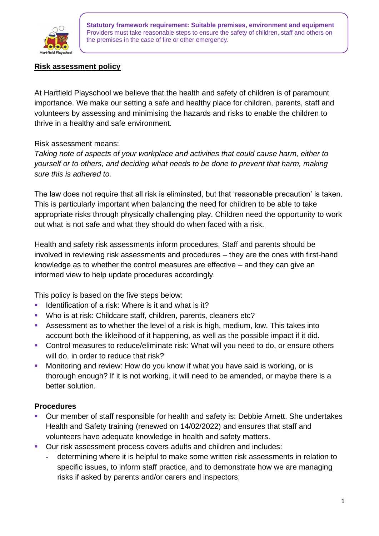

**Statutory framework requirement: Suitable premises, environment and equipment** Providers must take reasonable steps to ensure the safety of children, staff and others on the premises in the case of fire or other emergency.

## **Risk assessment policy**

At Hartfield Playschool we believe that the health and safety of children is of paramount importance. We make our setting a safe and healthy place for children, parents, staff and volunteers by assessing and minimising the hazards and risks to enable the children to thrive in a healthy and safe environment.

## Risk assessment means:

*Taking note of aspects of your workplace and activities that could cause harm, either to yourself or to others, and deciding what needs to be done to prevent that harm, making sure this is adhered to.*

The law does not require that all risk is eliminated, but that 'reasonable precaution' is taken. This is particularly important when balancing the need for children to be able to take appropriate risks through physically challenging play. Children need the opportunity to work out what is not safe and what they should do when faced with a risk.

Health and safety risk assessments inform procedures. Staff and parents should be involved in reviewing risk assessments and procedures – they are the ones with first-hand knowledge as to whether the control measures are effective – and they can give an informed view to help update procedures accordingly.

This policy is based on the five steps below:

- Identification of a risk: Where is it and what is it?
- Who is at risk: Childcare staff, children, parents, cleaners etc?
- Assessment as to whether the level of a risk is high, medium, low. This takes into account both the likleihood of it happening, as well as the possible impact if it did.
- Control measures to reduce/eliminate risk: What will you need to do, or ensure others will do, in order to reduce that risk?
- Monitoring and review: How do you know if what you have said is working, or is thorough enough? If it is not working, it will need to be amended, or maybe there is a better solution.

## **Procedures**

- Our member of staff responsible for health and safety is: Debbie Arnett. She undertakes Health and Safety training (renewed on 14/02/2022) and ensures that staff and volunteers have adequate knowledge in health and safety matters.
- Our risk assessment process covers adults and children and includes:
	- **-** determining where it is helpful to make some written risk assessments in relation to specific issues, to inform staff practice, and to demonstrate how we are managing risks if asked by parents and/or carers and inspectors;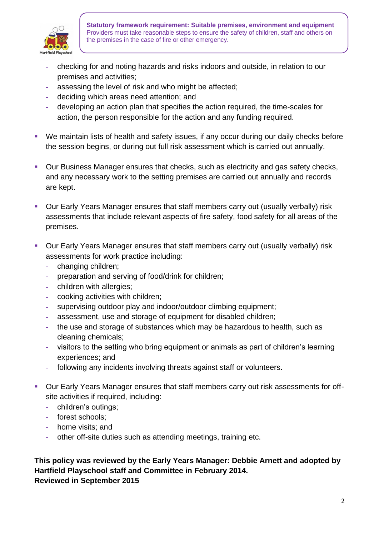

**Statutory framework requirement: Suitable premises, environment and equipment** Providers must take reasonable steps to ensure the safety of children, staff and others on the premises in the case of fire or other emergency.

- **-** checking for and noting hazards and risks indoors and outside, in relation to our premises and activities;
- **-** assessing the level of risk and who might be affected;
- **-** deciding which areas need attention; and
- **-** developing an action plan that specifies the action required, the time-scales for action, the person responsible for the action and any funding required.
- We maintain lists of health and safety issues, if any occur during our daily checks before the session begins, or during out full risk assessment which is carried out annually.
- Our Business Manager ensures that checks, such as electricity and gas safety checks, and any necessary work to the setting premises are carried out annually and records are kept.
- Our Early Years Manager ensures that staff members carry out (usually verbally) risk assessments that include relevant aspects of fire safety, food safety for all areas of the premises.
- Our Early Years Manager ensures that staff members carry out (usually verbally) risk assessments for work practice including:
	- **-** changing children;
	- **-** preparation and serving of food/drink for children;
	- **-** children with allergies;
	- **-** cooking activities with children;
	- **-** supervising outdoor play and indoor/outdoor climbing equipment;
	- **-** assessment, use and storage of equipment for disabled children;
	- **-** the use and storage of substances which may be hazardous to health, such as cleaning chemicals;
	- **-** visitors to the setting who bring equipment or animals as part of children's learning experiences; and
	- **-** following any incidents involving threats against staff or volunteers.
- Our Early Years Manager ensures that staff members carry out risk assessments for offsite activities if required, including:
	- **-** children's outings;
	- **-** forest schools;
	- **-** home visits; and
	- **-** other off-site duties such as attending meetings, training etc.

## **This policy was reviewed by the Early Years Manager: Debbie Arnett and adopted by Hartfield Playschool staff and Committee in February 2014. Reviewed in September 2015**